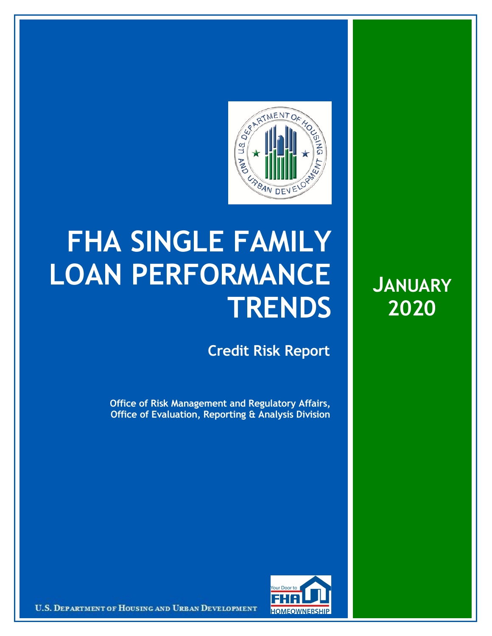

## **FHA SINGLE FAMILY LOAN PERFORMANCE TRENDS**

**Credit Risk Report**

**Office of Risk Management and Regulatory Affairs, Office of Evaluation, Reporting & Analysis Division**





U.S. DEPARTMENT OF HOUSING AND URBAN DEVELOPMENT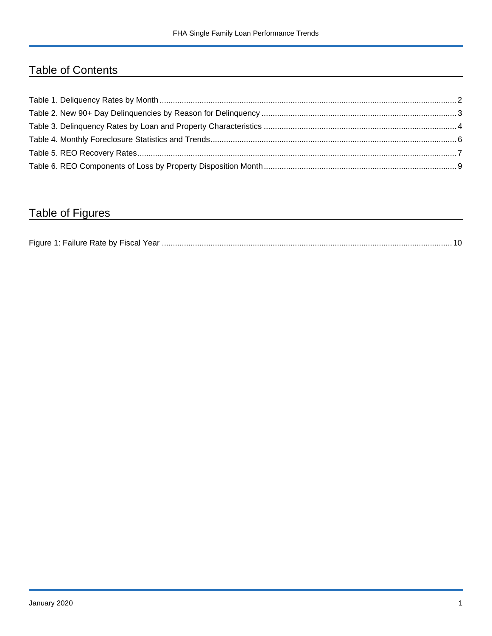## Table of Contents

## Table of Figures

| Figure 1 |  |
|----------|--|
|----------|--|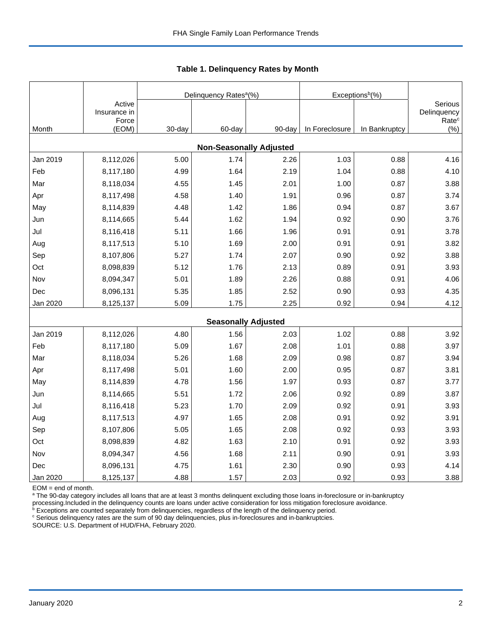|          |                                 |        | Delinquency Rates <sup>a</sup> (%) |        | Exceptions <sup>b</sup> (%) |               |                                             |
|----------|---------------------------------|--------|------------------------------------|--------|-----------------------------|---------------|---------------------------------------------|
|          | Active<br>Insurance in<br>Force |        |                                    |        |                             |               | Serious<br>Delinquency<br>Rate <sup>c</sup> |
| Month    | (EOM)                           | 30-day | 60-day                             | 90-day | In Foreclosure              | In Bankruptcy | $(\%)$                                      |
|          |                                 |        | <b>Non-Seasonally Adjusted</b>     |        |                             |               |                                             |
| Jan 2019 | 8,112,026                       | 5.00   | 1.74                               | 2.26   | 1.03                        | 0.88          | 4.16                                        |
| Feb      | 8,117,180                       | 4.99   | 1.64                               | 2.19   | 1.04                        | 0.88          | 4.10                                        |
| Mar      | 8,118,034                       | 4.55   | 1.45                               | 2.01   | 1.00                        | 0.87          | 3.88                                        |
| Apr      | 8,117,498                       | 4.58   | 1.40                               | 1.91   | 0.96                        | 0.87          | 3.74                                        |
| May      | 8,114,839                       | 4.48   | 1.42                               | 1.86   | 0.94                        | 0.87          | 3.67                                        |
| Jun      | 8,114,665                       | 5.44   | 1.62                               | 1.94   | 0.92                        | 0.90          | 3.76                                        |
| Jul      | 8,116,418                       | 5.11   | 1.66                               | 1.96   | 0.91                        | 0.91          | 3.78                                        |
| Aug      | 8,117,513                       | 5.10   | 1.69                               | 2.00   | 0.91                        | 0.91          | 3.82                                        |
| Sep      | 8,107,806                       | 5.27   | 1.74                               | 2.07   | 0.90                        | 0.92          | 3.88                                        |
| Oct      | 8,098,839                       | 5.12   | 1.76                               | 2.13   | 0.89                        | 0.91          | 3.93                                        |
| Nov      | 8,094,347                       | 5.01   | 1.89                               | 2.26   | 0.88                        | 0.91          | 4.06                                        |
| Dec      | 8,096,131                       | 5.35   | 1.85                               | 2.52   | 0.90                        | 0.93          | 4.35                                        |
| Jan 2020 | 8,125,137                       | 5.09   | 1.75                               | 2.25   | 0.92                        | 0.94          | 4.12                                        |
|          |                                 |        | <b>Seasonally Adjusted</b>         |        |                             |               |                                             |
| Jan 2019 | 8,112,026                       | 4.80   | 1.56                               | 2.03   | 1.02                        | 0.88          | 3.92                                        |
| Feb      | 8,117,180                       | 5.09   | 1.67                               | 2.08   | 1.01                        | 0.88          | 3.97                                        |
| Mar      | 8,118,034                       | 5.26   | 1.68                               | 2.09   | 0.98                        | 0.87          | 3.94                                        |
| Apr      | 8,117,498                       | 5.01   | 1.60                               | 2.00   | 0.95                        | 0.87          | 3.81                                        |
| May      | 8,114,839                       | 4.78   | 1.56                               | 1.97   | 0.93                        | 0.87          | 3.77                                        |
| Jun      | 8,114,665                       | 5.51   | 1.72                               | 2.06   | 0.92                        | 0.89          | 3.87                                        |
| Jul      | 8,116,418                       | 5.23   | 1.70                               | 2.09   | 0.92                        | 0.91          | 3.93                                        |
| Aug      | 8,117,513                       | 4.97   | 1.65                               | 2.08   | 0.91                        | 0.92          | 3.91                                        |
| Sep      | 8,107,806                       | 5.05   | 1.65                               | 2.08   | 0.92                        | 0.93          | 3.93                                        |
| Oct      | 8,098,839                       | 4.82   | 1.63                               | 2.10   | 0.91                        | 0.92          | 3.93                                        |
| Nov      | 8,094,347                       | 4.56   | 1.68                               | 2.11   | 0.90                        | 0.91          | 3.93                                        |
| Dec      | 8,096,131                       | 4.75   | 1.61                               | 2.30   | 0.90                        | 0.93          | 4.14                                        |
| Jan 2020 | 8,125,137                       | 4.88   | 1.57                               | 2.03   | 0.92                        | 0.93          | 3.88                                        |

 **Table 1. Delinquency Rates by Month**

EOM = end of month.

<sup>a</sup> The 90-day category includes all loans that are at least 3 months delinquent excluding those loans in-foreclosure or in-bankruptcy

processing.Included in the delinquency counts are loans under active consideration for loss mitigation foreclosure avoidance.<br><sup>b</sup> Exceptions are counted separately from delinquencies, regardless of the length of the delinq

<sup>c</sup> Serious delinquency rates are the sum of 90 day delinquencies, plus in-foreclosures and in-bankruptcies.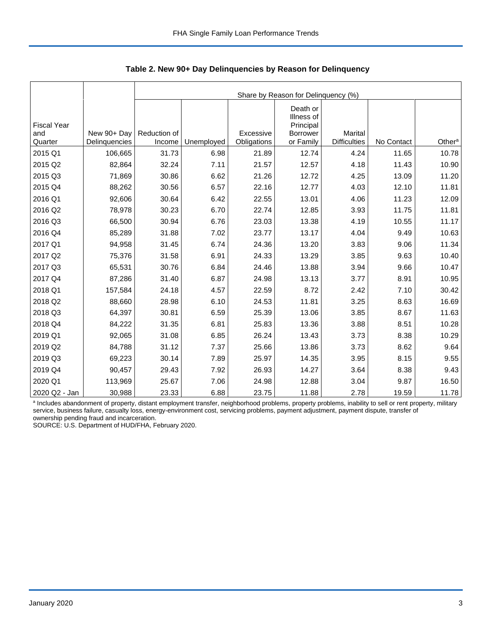|                                      |                              |                        | Share by Reason for Delinquency (%) |                          |                                                                     |                                |            |                    |  |  |  |  |
|--------------------------------------|------------------------------|------------------------|-------------------------------------|--------------------------|---------------------------------------------------------------------|--------------------------------|------------|--------------------|--|--|--|--|
| <b>Fiscal Year</b><br>and<br>Quarter | New 90+ Day<br>Delinquencies | Reduction of<br>Income | Unemployed                          | Excessive<br>Obligations | Death or<br>Illness of<br>Principal<br><b>Borrower</b><br>or Family | Marital<br><b>Difficulties</b> | No Contact | Other <sup>a</sup> |  |  |  |  |
| 2015 Q1                              | 106,665                      | 31.73                  | 6.98                                | 21.89                    | 12.74                                                               | 4.24                           | 11.65      | 10.78              |  |  |  |  |
|                                      |                              |                        |                                     |                          |                                                                     |                                |            |                    |  |  |  |  |
| 2015 Q2                              | 82,864                       | 32.24                  | 7.11                                | 21.57                    | 12.57                                                               | 4.18                           | 11.43      | 10.90              |  |  |  |  |
| 2015 Q3                              | 71,869                       | 30.86                  | 6.62                                | 21.26                    | 12.72                                                               | 4.25                           | 13.09      | 11.20              |  |  |  |  |
| 2015 Q4                              | 88,262                       | 30.56                  | 6.57                                | 22.16                    | 12.77                                                               | 4.03                           | 12.10      | 11.81              |  |  |  |  |
| 2016 Q1                              | 92,606                       | 30.64                  | 6.42                                | 22.55                    | 13.01                                                               | 4.06                           | 11.23      | 12.09              |  |  |  |  |
| 2016 Q2                              | 78,978                       | 30.23                  | 6.70                                | 22.74                    | 12.85                                                               | 3.93                           | 11.75      | 11.81              |  |  |  |  |
| 2016 Q3                              | 66,500                       | 30.94                  | 6.76                                | 23.03                    | 13.38                                                               | 4.19                           | 10.55      | 11.17              |  |  |  |  |
| 2016 Q4                              | 85,289                       | 31.88                  | 7.02                                | 23.77                    | 13.17                                                               | 4.04                           | 9.49       | 10.63              |  |  |  |  |
| 2017 Q1                              | 94,958                       | 31.45                  | 6.74                                | 24.36                    | 13.20                                                               | 3.83                           | 9.06       | 11.34              |  |  |  |  |
| 2017 Q2                              | 75,376                       | 31.58                  | 6.91                                | 24.33                    | 13.29                                                               | 3.85                           | 9.63       | 10.40              |  |  |  |  |
| 2017 Q3                              | 65,531                       | 30.76                  | 6.84                                | 24.46                    | 13.88                                                               | 3.94                           | 9.66       | 10.47              |  |  |  |  |
| 2017 Q4                              | 87,286                       | 31.40                  | 6.87                                | 24.98                    | 13.13                                                               | 3.77                           | 8.91       | 10.95              |  |  |  |  |
| 2018 Q1                              | 157,584                      | 24.18                  | 4.57                                | 22.59                    | 8.72                                                                | 2.42                           | 7.10       | 30.42              |  |  |  |  |
| 2018 Q2                              | 88,660                       | 28.98                  | 6.10                                | 24.53                    | 11.81                                                               | 3.25                           | 8.63       | 16.69              |  |  |  |  |
| 2018 Q3                              | 64,397                       | 30.81                  | 6.59                                | 25.39                    | 13.06                                                               | 3.85                           | 8.67       | 11.63              |  |  |  |  |
| 2018 Q4                              | 84,222                       | 31.35                  | 6.81                                | 25.83                    | 13.36                                                               | 3.88                           | 8.51       | 10.28              |  |  |  |  |
| 2019 Q1                              | 92,065                       | 31.08                  | 6.85                                | 26.24                    | 13.43                                                               | 3.73                           | 8.38       | 10.29              |  |  |  |  |
| 2019 Q2                              | 84,788                       | 31.12                  | 7.37                                | 25.66                    | 13.86                                                               | 3.73                           | 8.62       | 9.64               |  |  |  |  |
| 2019 Q3                              | 69,223                       | 30.14                  | 7.89                                | 25.97                    | 14.35                                                               | 3.95                           | 8.15       | 9.55               |  |  |  |  |
| 2019 Q4                              | 90,457                       | 29.43                  | 7.92                                | 26.93                    | 14.27                                                               | 3.64                           | 8.38       | 9.43               |  |  |  |  |
| 2020 Q1                              | 113,969                      | 25.67                  | 7.06                                | 24.98                    | 12.88                                                               | 3.04                           | 9.87       | 16.50              |  |  |  |  |
| 2020 Q2 - Jan                        | 30,988                       | 23.33                  | 6.88                                | 23.75                    | 11.88                                                               | 2.78                           | 19.59      | 11.78              |  |  |  |  |

 **Table 2. New 90+ Day Delinquencies by Reason for Delinquency**

a Includes abandonment of property, distant employment transfer, neighborhood problems, property problems, inability to sell or rent property, military service, business failure, casualty loss, energy-environment cost, servicing problems, payment adjustment, payment dispute, transfer of ownership pending fraud and incarceration.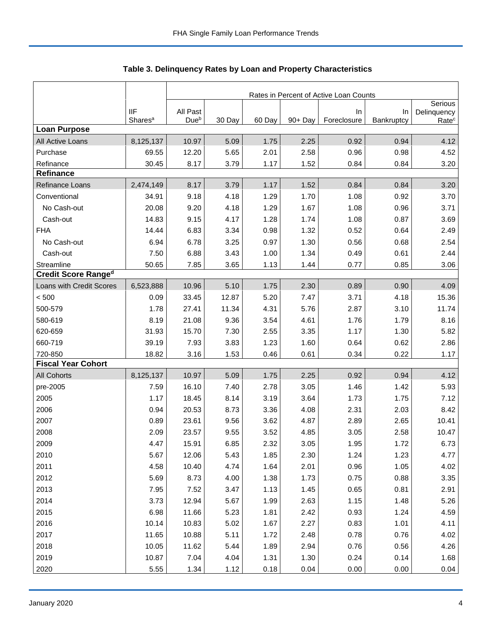|                            |                                   | Rates in Percent of Active Loan Counts |        |        |            |                   |                  |                                  |  |
|----------------------------|-----------------------------------|----------------------------------------|--------|--------|------------|-------------------|------------------|----------------------------------|--|
|                            |                                   |                                        |        |        |            |                   |                  | Serious                          |  |
|                            | <b>IIF</b><br>Shares <sup>a</sup> | All Past<br>Due <sup>b</sup>           | 30 Day | 60 Day | $90 + Day$ | In<br>Foreclosure | In<br>Bankruptcy | Delinquency<br>Rate <sup>c</sup> |  |
| <b>Loan Purpose</b>        |                                   |                                        |        |        |            |                   |                  |                                  |  |
| All Active Loans           | 8,125,137                         | 10.97                                  | 5.09   | 1.75   | 2.25       | 0.92              | 0.94             | 4.12                             |  |
| Purchase                   | 69.55                             | 12.20                                  | 5.65   | 2.01   | 2.58       | 0.96              | 0.98             | 4.52                             |  |
| Refinance                  | 30.45                             | 8.17                                   | 3.79   | 1.17   | 1.52       | 0.84              | 0.84             | 3.20                             |  |
| <b>Refinance</b>           |                                   |                                        |        |        |            |                   |                  |                                  |  |
| Refinance Loans            | 2,474,149                         | 8.17                                   | 3.79   | 1.17   | 1.52       | 0.84              | 0.84             | 3.20                             |  |
| Conventional               | 34.91                             | 9.18                                   | 4.18   | 1.29   | 1.70       | 1.08              | 0.92             | 3.70                             |  |
| No Cash-out                | 20.08                             | 9.20                                   | 4.18   | 1.29   | 1.67       | 1.08              | 0.96             | 3.71                             |  |
| Cash-out                   | 14.83                             | 9.15                                   | 4.17   | 1.28   | 1.74       | 1.08              | 0.87             | 3.69                             |  |
| <b>FHA</b>                 | 14.44                             | 6.83                                   | 3.34   | 0.98   | 1.32       | 0.52              | 0.64             | 2.49                             |  |
| No Cash-out                | 6.94                              | 6.78                                   | 3.25   | 0.97   | 1.30       | 0.56              | 0.68             | 2.54                             |  |
| Cash-out                   | 7.50                              | 6.88                                   | 3.43   | 1.00   | 1.34       | 0.49              | 0.61             | 2.44                             |  |
| Streamline                 | 50.65                             | 7.85                                   | 3.65   | 1.13   | 1.44       | 0.77              | 0.85             | 3.06                             |  |
| <b>Credit Score Ranged</b> |                                   |                                        |        |        |            |                   |                  |                                  |  |
| Loans with Credit Scores   | 6,523,888                         | 10.96                                  | 5.10   | 1.75   | 2.30       | 0.89              | 0.90             | 4.09                             |  |
| < 500                      | 0.09                              | 33.45                                  | 12.87  | 5.20   | 7.47       | 3.71              | 4.18             | 15.36                            |  |
| 500-579                    | 1.78                              | 27.41                                  | 11.34  | 4.31   | 5.76       | 2.87              | 3.10             | 11.74                            |  |
| 580-619                    | 8.19                              | 21.08                                  | 9.36   | 3.54   | 4.61       | 1.76              | 1.79             | 8.16                             |  |
| 620-659                    | 31.93                             | 15.70                                  | 7.30   | 2.55   | 3.35       | 1.17              | 1.30             | 5.82                             |  |
| 660-719                    | 39.19                             | 7.93                                   | 3.83   | 1.23   | 1.60       | 0.64              | 0.62             | 2.86                             |  |
| 720-850                    | 18.82                             | 3.16                                   | 1.53   | 0.46   | 0.61       | 0.34              | 0.22             | 1.17                             |  |
| <b>Fiscal Year Cohort</b>  |                                   |                                        |        |        |            |                   |                  |                                  |  |
| <b>All Cohorts</b>         | 8,125,137                         | 10.97                                  | 5.09   | 1.75   | 2.25       | 0.92              | 0.94             | 4.12                             |  |
| pre-2005                   | 7.59                              | 16.10                                  | 7.40   | 2.78   | 3.05       | 1.46              | 1.42             | 5.93                             |  |
| 2005                       | 1.17                              | 18.45                                  | 8.14   | 3.19   | 3.64       | 1.73              | 1.75             | 7.12                             |  |
| 2006                       | 0.94                              | 20.53                                  | 8.73   | 3.36   | 4.08       | 2.31              | 2.03             | 8.42                             |  |
| 2007                       | 0.89                              | 23.61                                  | 9.56   | 3.62   | 4.87       | 2.89              | 2.65             | 10.41                            |  |
| 2008                       | 2.09                              | 23.57                                  | 9.55   | 3.52   | 4.85       | 3.05              | 2.58             | 10.47                            |  |
| 2009                       | 4.47                              | 15.91                                  | 6.85   | 2.32   | 3.05       | 1.95              | 1.72             | 6.73                             |  |
| 2010                       | 5.67                              | 12.06                                  | 5.43   | 1.85   | 2.30       | 1.24              | 1.23             | 4.77                             |  |
| 2011                       | 4.58                              | 10.40                                  | 4.74   | 1.64   | 2.01       | 0.96              | 1.05             | 4.02                             |  |
| 2012                       | 5.69                              | 8.73                                   | 4.00   | 1.38   | 1.73       | 0.75              | 0.88             | 3.35                             |  |
| 2013                       | 7.95                              | 7.52                                   | 3.47   | 1.13   | 1.45       | 0.65              | 0.81             | 2.91                             |  |
| 2014                       | 3.73                              | 12.94                                  | 5.67   | 1.99   | 2.63       | 1.15              | 1.48             | 5.26                             |  |
| 2015                       | 6.98                              | 11.66                                  | 5.23   | 1.81   | 2.42       | 0.93              | 1.24             | 4.59                             |  |
| 2016                       | 10.14                             | 10.83                                  | 5.02   | 1.67   | 2.27       | 0.83              | 1.01             | 4.11                             |  |
| 2017                       | 11.65                             | 10.88                                  | 5.11   | 1.72   | 2.48       | 0.78              | 0.76             | 4.02                             |  |
| 2018                       | 10.05                             | 11.62                                  | 5.44   | 1.89   | 2.94       | 0.76              | 0.56             | 4.26                             |  |
| 2019                       | 10.87                             | 7.04                                   | 4.04   | 1.31   | 1.30       | 0.24              | 0.14             | 1.68                             |  |
| 2020                       | 5.55                              | 1.34                                   | 1.12   | 0.18   | 0.04       | 0.00              | 0.00             | 0.04                             |  |

**Table 3. Delinquency Rates by Loan and Property Characteristics**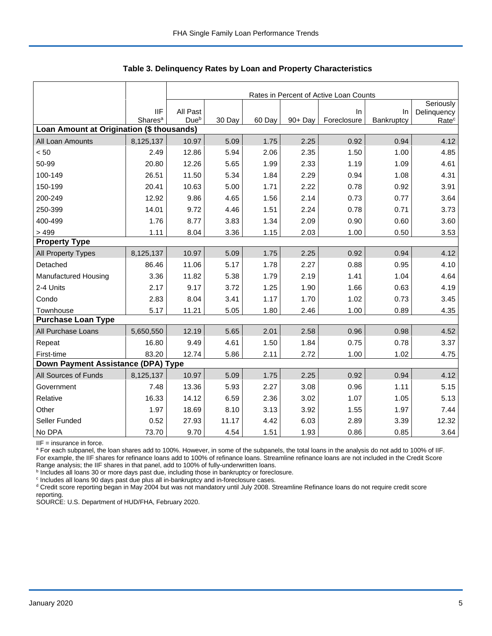|                                           |                                   |                              | Rates in Percent of Active Loan Counts |        |         |                   |                  |                                  |  |  |  |
|-------------------------------------------|-----------------------------------|------------------------------|----------------------------------------|--------|---------|-------------------|------------------|----------------------------------|--|--|--|
|                                           |                                   |                              |                                        |        |         |                   |                  | Seriously                        |  |  |  |
|                                           | <b>IIF</b><br>Shares <sup>a</sup> | All Past<br>Due <sup>b</sup> | 30 Day                                 | 60 Day | 90+ Day | In<br>Foreclosure | In<br>Bankruptcy | Delinquency<br>Rate <sup>c</sup> |  |  |  |
| Loan Amount at Origination (\$ thousands) |                                   |                              |                                        |        |         |                   |                  |                                  |  |  |  |
| All Loan Amounts                          | 8,125,137                         | 10.97                        | 5.09                                   | 1.75   | 2.25    | 0.92              | 0.94             | 4.12                             |  |  |  |
| < 50                                      | 2.49                              | 12.86                        | 5.94                                   | 2.06   | 2.35    | 1.50              | 1.00             | 4.85                             |  |  |  |
| 50-99                                     | 20.80                             | 12.26                        | 5.65                                   | 1.99   | 2.33    | 1.19              | 1.09             | 4.61                             |  |  |  |
| 100-149                                   | 26.51                             | 11.50                        | 5.34                                   | 1.84   | 2.29    | 0.94              | 1.08             | 4.31                             |  |  |  |
| 150-199                                   | 20.41                             | 10.63                        | 5.00                                   | 1.71   | 2.22    | 0.78              | 0.92             | 3.91                             |  |  |  |
| 200-249                                   | 12.92                             | 9.86                         | 4.65                                   | 1.56   | 2.14    | 0.73              | 0.77             | 3.64                             |  |  |  |
| 250-399                                   | 14.01                             | 9.72                         | 4.46                                   | 1.51   | 2.24    | 0.78              | 0.71             | 3.73                             |  |  |  |
| 400-499                                   | 1.76                              | 8.77                         | 3.83                                   | 1.34   | 2.09    | 0.90              | 0.60             | 3.60                             |  |  |  |
| > 499                                     | 1.11                              | 8.04                         | 3.36                                   | 1.15   | 2.03    | 1.00              | 0.50             | 3.53                             |  |  |  |
| <b>Property Type</b>                      |                                   |                              |                                        |        |         |                   |                  |                                  |  |  |  |
| All Property Types                        | 8,125,137                         | 10.97                        | 5.09                                   | 1.75   | 2.25    | 0.92              | 0.94             | 4.12                             |  |  |  |
| Detached                                  | 86.46                             | 11.06                        | 5.17                                   | 1.78   | 2.27    | 0.88              | 0.95             | 4.10                             |  |  |  |
| Manufactured Housing                      | 3.36                              | 11.82                        | 5.38                                   | 1.79   | 2.19    | 1.41              | 1.04             | 4.64                             |  |  |  |
| 2-4 Units                                 | 2.17                              | 9.17                         | 3.72                                   | 1.25   | 1.90    | 1.66              | 0.63             | 4.19                             |  |  |  |
| Condo                                     | 2.83                              | 8.04                         | 3.41                                   | 1.17   | 1.70    | 1.02              | 0.73             | 3.45                             |  |  |  |
| Townhouse                                 | 5.17                              | 11.21                        | 5.05                                   | 1.80   | 2.46    | 1.00              | 0.89             | 4.35                             |  |  |  |
| <b>Purchase Loan Type</b>                 |                                   |                              |                                        |        |         |                   |                  |                                  |  |  |  |
| All Purchase Loans                        | 5,650,550                         | 12.19                        | 5.65                                   | 2.01   | 2.58    | 0.96              | 0.98             | 4.52                             |  |  |  |
| Repeat                                    | 16.80                             | 9.49                         | 4.61                                   | 1.50   | 1.84    | 0.75              | 0.78             | 3.37                             |  |  |  |
| First-time                                | 83.20                             | 12.74                        | 5.86                                   | 2.11   | 2.72    | 1.00              | 1.02             | 4.75                             |  |  |  |
| Down Payment Assistance (DPA) Type        |                                   |                              |                                        |        |         |                   |                  |                                  |  |  |  |
| All Sources of Funds                      | 8,125,137                         | 10.97                        | 5.09                                   | 1.75   | 2.25    | 0.92              | 0.94             | 4.12                             |  |  |  |
| Government                                | 7.48                              | 13.36                        | 5.93                                   | 2.27   | 3.08    | 0.96              | 1.11             | 5.15                             |  |  |  |
| Relative                                  | 16.33                             | 14.12                        | 6.59                                   | 2.36   | 3.02    | 1.07              | 1.05             | 5.13                             |  |  |  |
| Other                                     | 1.97                              | 18.69                        | 8.10                                   | 3.13   | 3.92    | 1.55              | 1.97             | 7.44                             |  |  |  |
| Seller Funded                             | 0.52                              | 27.93                        | 11.17                                  | 4.42   | 6.03    | 2.89              | 3.39             | 12.32                            |  |  |  |
| No DPA                                    | 73.70                             | 9.70                         | 4.54                                   | 1.51   | 1.93    | 0.86              | 0.85             | 3.64                             |  |  |  |

 **Table 3. Delinquency Rates by Loan and Property Characteristics**

IIF = insurance in force.

<sup>a</sup> For each subpanel, the loan shares add to 100%. However, in some of the subpanels, the total loans in the analysis do not add to 100% of IIF. For example, the IIF shares for refinance loans add to 100% of refinance loans. Streamline refinance loans are not included in the Credit Score

Range analysis; the IIF shares in that panel, add to 100% of fully-underwritten loans.<br><sup>b</sup> Includes all loans 30 or more days past due, including those in bankruptcy or foreclosure.

<sup>c</sup> Includes all loans 90 days past due plus all in-bankruptcy and in-foreclosure cases.

<sup>d</sup> Credit score reporting began in May 2004 but was not mandatory until July 2008. Streamline Refinance loans do not require credit score reporting.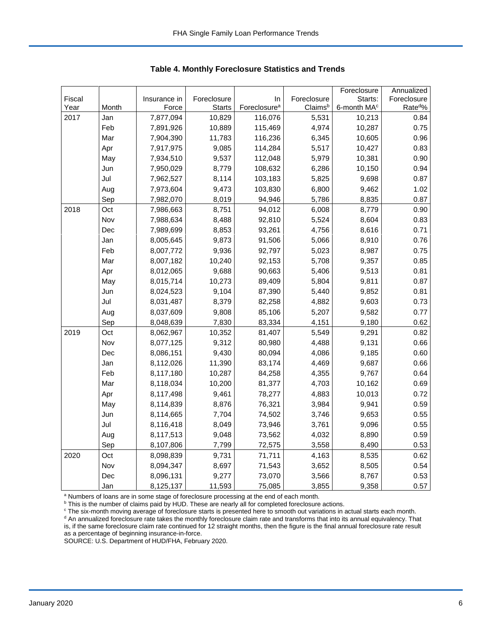|        |       |              |               |                          |             | Foreclosure             | Annualized           |
|--------|-------|--------------|---------------|--------------------------|-------------|-------------------------|----------------------|
| Fiscal |       | Insurance in | Foreclosure   | In                       | Foreclosure | Starts:                 | Foreclosure          |
| Year   | Month | Force        | <b>Starts</b> | Foreclosure <sup>a</sup> | Claimsb     | 6-month MA <sup>c</sup> | Rate <sup>do</sup> % |
| 2017   | Jan   | 7,877,094    | 10,829        | 116,076                  | 5,531       | 10,213                  | 0.84                 |
|        | Feb   | 7,891,926    | 10,889        | 115,469                  | 4,974       | 10,287                  | 0.75                 |
|        | Mar   | 7,904,390    | 11,783        | 116,236                  | 6,345       | 10,605                  | 0.96                 |
|        | Apr   | 7,917,975    | 9,085         | 114,284                  | 5,517       | 10,427                  | 0.83                 |
|        | May   | 7,934,510    | 9,537         | 112,048                  | 5,979       | 10,381                  | 0.90                 |
|        | Jun   | 7,950,029    | 8,779         | 108,632                  | 6,286       | 10,150                  | 0.94                 |
|        | Jul   | 7,962,527    | 8,114         | 103,183                  | 5,825       | 9,698                   | 0.87                 |
|        | Aug   | 7,973,604    | 9,473         | 103,830                  | 6,800       | 9,462                   | 1.02                 |
|        | Sep   | 7,982,070    | 8,019         | 94,946                   | 5,786       | 8,835                   | 0.87                 |
| 2018   | Oct   | 7,986,663    | 8,751         | 94,012                   | 6,008       | 8,779                   | 0.90                 |
|        | Nov   | 7,988,634    | 8,488         | 92,810                   | 5,524       | 8,604                   | 0.83                 |
|        | Dec   | 7,989,699    | 8,853         | 93,261                   | 4,756       | 8,616                   | 0.71                 |
|        | Jan   | 8,005,645    | 9,873         | 91,506                   | 5,066       | 8,910                   | 0.76                 |
|        | Feb   | 8,007,772    | 9,936         | 92,797                   | 5,023       | 8,987                   | 0.75                 |
|        | Mar   | 8,007,182    | 10,240        | 92,153                   | 5,708       | 9,357                   | 0.85                 |
|        | Apr   | 8,012,065    | 9,688         | 90,663                   | 5,406       | 9,513                   | 0.81                 |
|        | May   | 8,015,714    | 10,273        | 89,409                   | 5,804       | 9,811                   | 0.87                 |
|        | Jun   | 8,024,523    | 9,104         | 87,390                   | 5,440       | 9,852                   | 0.81                 |
|        | Jul   | 8,031,487    | 8,379         | 82,258                   | 4,882       | 9,603                   | 0.73                 |
|        | Aug   | 8,037,609    | 9,808         | 85,106                   | 5,207       | 9,582                   | 0.77                 |
|        | Sep   | 8,048,639    | 7,830         | 83,334                   | 4,151       | 9,180                   | 0.62                 |
| 2019   | Oct   | 8,062,967    | 10,352        | 81,407                   | 5,549       | 9,291                   | 0.82                 |
|        | Nov   | 8,077,125    | 9,312         | 80,980                   | 4,488       | 9,131                   | 0.66                 |
|        | Dec   | 8,086,151    | 9,430         | 80,094                   | 4,086       | 9,185                   | 0.60                 |
|        | Jan   | 8,112,026    | 11,390        | 83,174                   | 4,469       | 9,687                   | 0.66                 |
|        | Feb   | 8,117,180    | 10,287        | 84,258                   | 4,355       | 9,767                   | 0.64                 |
|        | Mar   | 8,118,034    | 10,200        | 81,377                   | 4,703       | 10,162                  | 0.69                 |
|        | Apr   | 8,117,498    | 9,461         | 78,277                   | 4,883       | 10,013                  | 0.72                 |
|        | May   | 8,114,839    | 8,876         | 76,321                   | 3,984       | 9,941                   | 0.59                 |
|        | Jun   | 8,114,665    | 7,704         | 74,502                   | 3,746       | 9,653                   | 0.55                 |
|        | Jul   | 8,116,418    | 8,049         | 73,946                   | 3,761       | 9,096                   | 0.55                 |
|        | Aug   | 8,117,513    | 9,048         | 73,562                   | 4,032       | 8,890                   | 0.59                 |
|        | Sep   | 8,107,806    | 7,799         | 72,575                   | 3,558       | 8,490                   | 0.53                 |
| 2020   | Oct   | 8,098,839    | 9,731         | 71,711                   | 4,163       | 8,535                   | 0.62                 |
|        | Nov   | 8,094,347    | 8,697         | 71,543                   | 3,652       | 8,505                   | 0.54                 |
|        | Dec   | 8,096,131    | 9,277         | 73,070                   | 3,566       | 8,767                   | 0.53                 |
|        | Jan   | 8,125,137    | 11,593        | 75,085                   | 3,855       | 9,358                   | 0.57                 |

 **Table 4. Monthly Foreclosure Statistics and Trends**

<sup>a</sup> Numbers of loans are in some stage of foreclosure processing at the end of each month.

<sup>b</sup> This is the number of claims paid by HUD. These are nearly all for completed foreclosure actions.

<sup>c</sup> The six-month moving average of foreclosure starts is presented here to smooth out variations in actual starts each month. <sup>d</sup> An annualized foreclosure rate takes the monthly foreclosure claim rate and transforms that into its annual equivalency. That is, if the same foreclosure claim rate continued for 12 straight months, then the figure is the final annual foreclosure rate result as a percentage of beginning insurance-in-force.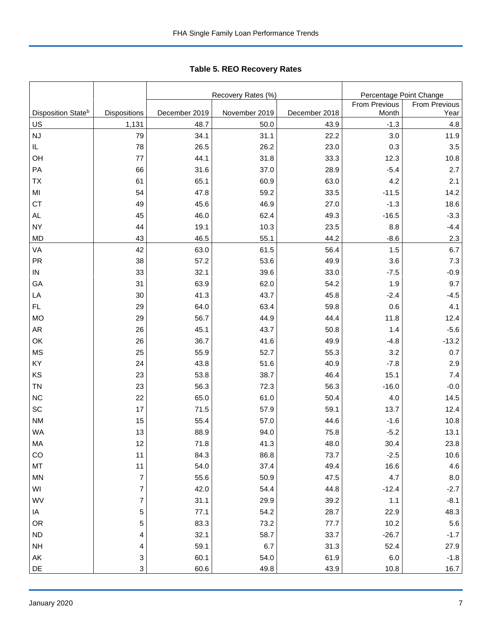Tabl e 5. REO R ecovery R ates **Table 5. REO Recovery Rates**

|                                |                          |               | Recovery Rates (%) | Percentage Point Change |               |               |
|--------------------------------|--------------------------|---------------|--------------------|-------------------------|---------------|---------------|
|                                |                          |               |                    |                         | From Previous | From Previous |
| Disposition State <sup>b</sup> | Dispositions             | December 2019 | November 2019      | December 2018           | Month         | Year          |
| $\underline{\mathsf{U}}$       | 1,131                    | 48.7          | 50.0               | 43.9                    | $-1.3$        | 4.8           |
| NJ                             | 79                       | 34.1          | 31.1               | 22.2                    | 3.0           | 11.9          |
| IL                             | 78                       | 26.5          | 26.2               | 23.0                    | 0.3           | 3.5           |
| OH                             | 77                       | 44.1          | 31.8               | 33.3                    | 12.3          | 10.8          |
| PA                             | 66                       | 31.6          | 37.0               | 28.9                    | $-5.4$        | 2.7           |
| <b>TX</b>                      | 61                       | 65.1          | 60.9               | 63.0                    | 4.2           | 2.1           |
| MI                             | 54                       | 47.8          | 59.2               | 33.5                    | $-11.5$       | 14.2          |
| <b>CT</b>                      | 49                       | 45.6          | 46.9               | 27.0                    | $-1.3$        | 18.6          |
| AL                             | 45                       | 46.0          | 62.4               | 49.3                    | $-16.5$       | $-3.3$        |
| <b>NY</b>                      | 44                       | 19.1          | 10.3               | 23.5                    | 8.8           | $-4.4$        |
| <b>MD</b>                      | 43                       | 46.5          | 55.1               | 44.2                    | $-8.6$        | 2.3           |
| VA                             | 42                       | 63.0          | 61.5               | 56.4                    | 1.5           | 6.7           |
| PR                             | 38                       | 57.2          | 53.6               | 49.9                    | 3.6           | 7.3           |
| ${\sf IN}$                     | 33                       | 32.1          | 39.6               | 33.0                    | $-7.5$        | $-0.9$        |
| GA                             | 31                       | 63.9          | 62.0               | 54.2                    | 1.9           | 9.7           |
| LA                             | 30                       | 41.3          | 43.7               | 45.8                    | $-2.4$        | $-4.5$        |
| FL.                            | 29                       | 64.0          | 63.4               | 59.8                    | 0.6           | 4.1           |
| <b>MO</b>                      | 29                       | 56.7          | 44.9               | 44.4                    | 11.8          | 12.4          |
| <b>AR</b>                      | 26                       | 45.1          | 43.7               | 50.8                    | 1.4           | $-5.6$        |
| OK                             | 26                       | 36.7          | 41.6               | 49.9                    | $-4.8$        | $-13.2$       |
| <b>MS</b>                      | 25                       | 55.9          | 52.7               | 55.3                    | 3.2           | 0.7           |
| KY                             | 24                       | 43.8          | 51.6               | 40.9                    | $-7.8$        | 2.9           |
| KS                             | 23                       | 53.8          | 38.7               | 46.4                    | 15.1          | 7.4           |
| <b>TN</b>                      | 23                       | 56.3          | 72.3               | 56.3                    | $-16.0$       | $-0.0$        |
| <b>NC</b>                      | 22                       | 65.0          | 61.0               | 50.4                    | 4.0           | 14.5          |
| SC                             | 17                       | 71.5          | 57.9               | 59.1                    | 13.7          | 12.4          |
| <b>NM</b>                      | 15                       | 55.4          | 57.0               | 44.6                    | $-1.6$        | 10.8          |
| <b>WA</b>                      | 13                       | 88.9          | 94.0               | 75.8                    | $-5.2$        | 13.1          |
| МA                             | 12                       | 71.8          | 41.3               | 48.0                    | 30.4          | 23.8          |
| CO                             | 11                       | 84.3          | 86.8               | 73.7                    | $-2.5$        | 10.6          |
| MT                             | 11                       | 54.0          | 37.4               | 49.4                    | 16.6          | 4.6           |
| <b>MN</b>                      | $\overline{\mathcal{I}}$ | 55.6          | 50.9               | 47.5                    | 4.7           | $8.0\,$       |
| WI                             | $\overline{\mathcal{I}}$ | 42.0          | 54.4               | 44.8                    | $-12.4$       | $-2.7$        |
| WV                             | $\overline{7}$           | 31.1          | 29.9               | 39.2                    | $1.1$         | $-8.1$        |
| IA                             | 5                        | 77.1          | 54.2               | 28.7                    | 22.9          | 48.3          |
| OR                             | 5                        | 83.3          | 73.2               | 77.7                    | 10.2          | $5.6\,$       |
| ${\sf ND}$                     | 4                        | 32.1          | 58.7               | 33.7                    | $-26.7$       | $-1.7$        |
| <b>NH</b>                      | 4                        | 59.1          | 6.7                | 31.3                    | 52.4          | 27.9          |
| AK                             | 3                        | 60.1          | 54.0               | 61.9                    | 6.0           | $-1.8$        |
| DE                             | 3                        | 60.6          | 49.8               | 43.9                    | 10.8          | 16.7          |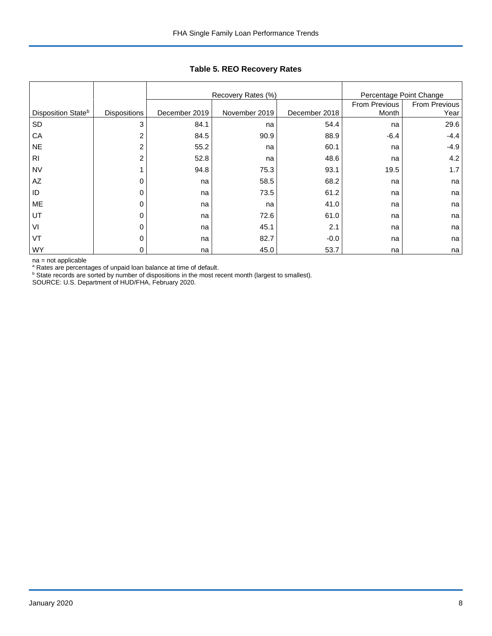|                                |                     |               | Recovery Rates (%) | Percentage Point Change |               |               |
|--------------------------------|---------------------|---------------|--------------------|-------------------------|---------------|---------------|
|                                |                     |               |                    |                         | From Previous | From Previous |
| Disposition State <sup>b</sup> | <b>Dispositions</b> | December 2019 | November 2019      | December 2018           | Month         | Year          |
| SD                             | 3                   | 84.1          | na                 | 54.4                    | na            | 29.6          |
| CA                             | 2                   | 84.5          | 90.9               | 88.9                    | $-6.4$        | $-4.4$        |
| <b>NE</b>                      | 2                   | 55.2          | na                 | 60.1                    | na            | $-4.9$        |
| R <sub>1</sub>                 | 2                   | 52.8          | na                 | 48.6                    | na            | 4.2           |
| <b>NV</b>                      |                     | 94.8          | 75.3               | 93.1                    | 19.5          | 1.7           |
| AZ                             |                     | na            | 58.5               | 68.2                    | na            | na            |
| ID                             | 0                   | na            | 73.5               | 61.2                    | na            | na            |
| ME                             |                     | na            | na                 | 41.0                    | na            | na            |
| UT                             | 0                   | na            | 72.6               | 61.0                    | na            | na            |
| VI                             | O                   | na            | 45.1               | 2.1                     | na            | na            |
| VT                             | 0                   | na            | 82.7               | $-0.0$                  | na            | na            |
| <b>WY</b>                      | 0                   | na            | 45.0               | 53.7                    | na            | na            |

## **Table 5. REO Recovery Rates**

na = not applicable

<sup>a</sup> Rates are percentages of unpaid loan balance at time of default.<br><sup>b</sup> State records are sorted by number of dispositions in the most recent month (largest to smallest).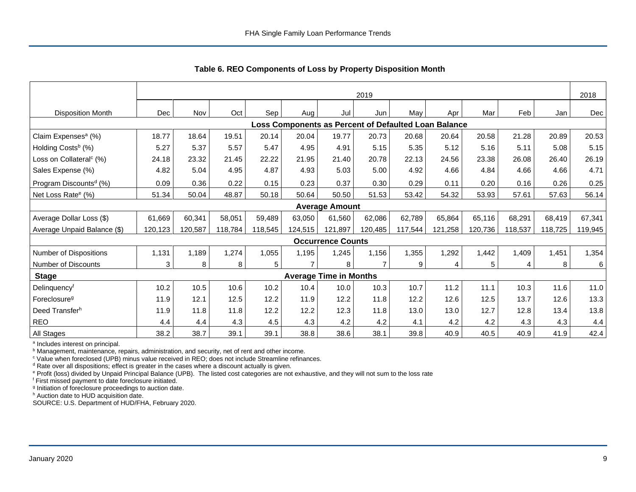|                                     | 2019       |         |         |                |         |                               |                |                                                      |                | 2018    |         |         |         |
|-------------------------------------|------------|---------|---------|----------------|---------|-------------------------------|----------------|------------------------------------------------------|----------------|---------|---------|---------|---------|
| <b>Disposition Month</b>            | <b>Dec</b> | Nov     | Oct     | Sep            | Aug     | Jul                           | Jun            | May                                                  | Apr            | Mar     | Feb     | Jan     | Dec     |
|                                     |            |         |         |                |         |                               |                | Loss Components as Percent of Defaulted Loan Balance |                |         |         |         |         |
| Claim Expenses <sup>a</sup> (%)     | 18.77      | 18.64   | 19.51   | 20.14          | 20.04   | 19.77                         | 20.73          | 20.68                                                | 20.64          | 20.58   | 21.28   | 20.89   | 20.53   |
| Holding Costs <sup>b</sup> (%)      | 5.27       | 5.37    | 5.57    | 5.47           | 4.95    | 4.91                          | 5.15           | 5.35                                                 | 5.12           | 5.16    | 5.11    | 5.08    | 5.15    |
| Loss on Collateral <sup>c</sup> (%) | 24.18      | 23.32   | 21.45   | 22.22          | 21.95   | 21.40                         | 20.78          | 22.13                                                | 24.56          | 23.38   | 26.08   | 26.40   | 26.19   |
| Sales Expense (%)                   | 4.82       | 5.04    | 4.95    | 4.87           | 4.93    | 5.03                          | 5.00           | 4.92                                                 | 4.66           | 4.84    | 4.66    | 4.66    | 4.71    |
| Program Discounts <sup>d</sup> (%)  | 0.09       | 0.36    | 0.22    | 0.15           | 0.23    | 0.37                          | 0.30           | 0.29                                                 | 0.11           | 0.20    | 0.16    | 0.26    | 0.25    |
| Net Loss Rate <sup>e</sup> (%)      | 51.34      | 50.04   | 48.87   | 50.18          | 50.64   | 50.50                         | 51.53          | 53.42                                                | 54.32          | 53.93   | 57.61   | 57.63   | 56.14   |
|                                     |            |         |         |                |         | <b>Average Amount</b>         |                |                                                      |                |         |         |         |         |
| Average Dollar Loss (\$)            | 61,669     | 60,341  | 58,051  | 59,489         | 63,050  | 61,560                        | 62,086         | 62,789                                               | 65,864         | 65,116  | 68,291  | 68,419  | 67,341  |
| Average Unpaid Balance (\$)         | 120,123    | 120,587 | 118,784 | 118,545        | 124,515 | 121,897                       | 120,485        | 117,544                                              | 121,258        | 120,736 | 118,537 | 118,725 | 119,945 |
|                                     |            |         |         |                |         | <b>Occurrence Counts</b>      |                |                                                      |                |         |         |         |         |
| Number of Dispositions              | 1,131      | 1,189   | 1,274   | 1,055          | 1,195   | 1,245                         | 1,156          | 1,355                                                | 1,292          | 1,442   | 1,409   | 1,451   | 1,354   |
| Number of Discounts                 | 3          | 8       | 8       | 5 <sub>1</sub> |         | 8                             | $\overline{7}$ | 9                                                    | $\overline{4}$ | 5       | 4       | 8       | 6       |
| <b>Stage</b>                        |            |         |         |                |         | <b>Average Time in Months</b> |                |                                                      |                |         |         |         |         |
| Delinquencyf                        | 10.2       | 10.5    | 10.6    | 10.2           | 10.4    | 10.0                          | 10.3           | 10.7                                                 | 11.2           | 11.1    | 10.3    | 11.6    | 11.0    |
| Foreclosure <sup>g</sup>            | 11.9       | 12.1    | 12.5    | 12.2           | 11.9    | 12.2                          | 11.8           | 12.2                                                 | 12.6           | 12.5    | 13.7    | 12.6    | 13.3    |
| Deed Transfer <sup>h</sup>          | 11.9       | 11.8    | 11.8    | 12.2           | 12.2    | 12.3                          | 11.8           | 13.0                                                 | 13.0           | 12.7    | 12.8    | 13.4    | 13.8    |
| <b>REO</b>                          | 4.4        | 4.4     | 4.3     | 4.5            | 4.3     | 4.2                           | 4.2            | 4.1                                                  | 4.2            | 4.2     | 4.3     | 4.3     | 4.4     |
| All Stages                          | 38.2       | 38.7    | 39.1    | 39.1           | 38.8    | 38.6                          | 38.1           | 39.8                                                 | 40.9           | 40.5    | 40.9    | 41.9    | 42.4    |

 **Table 6. REO Components of Loss by Property Disposition Month**

<sup>a</sup> Includes interest on principal.

<sup>b</sup> Management, maintenance, repairs, administration, and security, net of rent and other income.

c Value when foreclosed (UPB) minus value received in REO; does not include Streamline refinances.

<sup>d</sup> Rate over all dispositions; effect is greater in the cases where a discount actually is given.

e Profit (loss) divided by Unpaid Principal Balance (UPB). The listed cost categories are not exhaustive, and they will not sum to the loss rate

f First missed payment to date foreclosure initiated.

<sup>g</sup> Initiation of foreclosure proceedings to auction date.

h Auction date to HUD acquisition date.